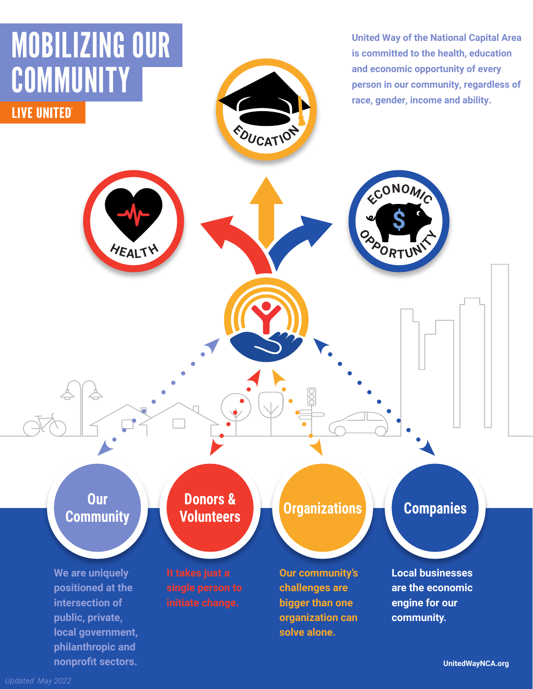